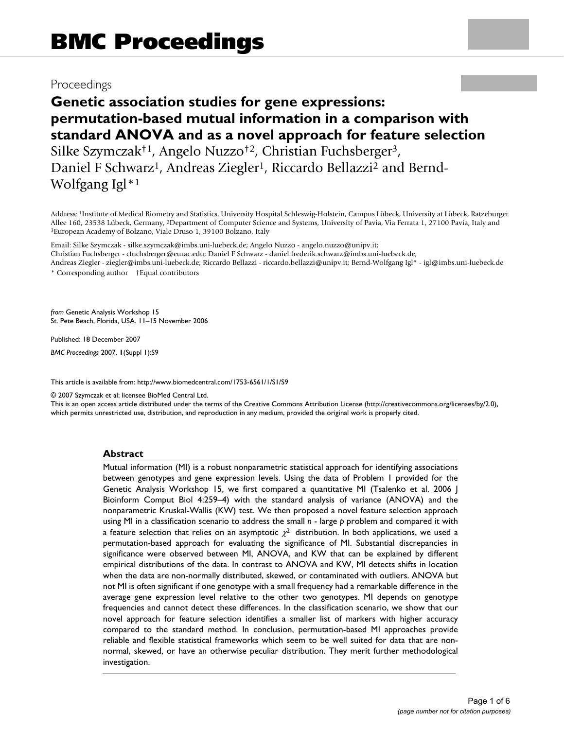## Proceedings

# **Genetic association studies for gene expressions: permutation-based mutual information in a comparison with standard ANOVA and as a novel approach for feature selection** Silke Szymczak†1, Angelo Nuzzo†2, Christian Fuchsberger3,

Daniel F Schwarz<sup>1</sup>, Andreas Ziegler<sup>1</sup>, Riccardo Bellazzi<sup>2</sup> and Bernd-Wolfgang Igl\*1

Address: 1Institute of Medical Biometry and Statistics, University Hospital Schleswig-Holstein, Campus Lübeck, University at Lübeck, Ratzeburger Allee 160, 23538 Lübeck, Germany, <sup>2</sup>Department of Computer Science and Systems, University of Pavia, Via Ferrata 1, 27100 Pavia, Italy and <sup>3</sup>European Academy of Bolzano, Viale Druso 1, 39100 Bolzano, Italy

Email: Silke Szymczak - silke.szymczak@imbs.uni-luebeck.de; Angelo Nuzzo - angelo.nuzzo@unipv.it;

Christian Fuchsberger - cfuchsberger@eurac.edu; Daniel F Schwarz - daniel.frederik.schwarz@imbs.uni-luebeck.de;

Andreas Ziegler - ziegler@imbs.uni-luebeck.de; Riccardo Bellazzi - riccardo.bellazzi@unipv.it; Bernd-Wolfgang Igl\* - igl@imbs.uni-luebeck.de \* Corresponding author †Equal contributors

*from* Genetic Analysis Workshop 15 St. Pete Beach, Florida, USA. 11–15 November 2006

Published: 18 December 2007

*BMC Proceedings* 2007, **1**(Suppl 1):S9

[This article is available from: http://www.biomedcentral.com/1753-6561/1/S1/S9](http://www.biomedcentral.com/1753-6561/1/S1/S9)

© 2007 Szymczak et al; licensee BioMed Central Ltd.

This is an open access article distributed under the terms of the Creative Commons Attribution License [\(http://creativecommons.org/licenses/by/2.0\)](http://creativecommons.org/licenses/by/2.0), which permits unrestricted use, distribution, and reproduction in any medium, provided the original work is properly cited.

### **Abstract**

Mutual information (MI) is a robust nonparametric statistical approach for identifying associations between genotypes and gene expression levels. Using the data of Problem 1 provided for the Genetic Analysis Workshop 15, we first compared a quantitative MI (Tsalenko et al. 2006 J Bioinform Comput Biol 4:259–4) with the standard analysis of variance (ANOVA) and the nonparametric Kruskal-Wallis (KW) test. We then proposed a novel feature selection approach using MI in a classification scenario to address the small *n* - large *p* problem and compared it with a feature selection that relies on an asymptotic  $\chi^2$  distribution. In both applications, we used a permutation-based approach for evaluating the significance of MI. Substantial discrepancies in significance were observed between MI, ANOVA, and KW that can be explained by different empirical distributions of the data. In contrast to ANOVA and KW, MI detects shifts in location when the data are non-normally distributed, skewed, or contaminated with outliers. ANOVA but not MI is often significant if one genotype with a small frequency had a remarkable difference in the average gene expression level relative to the other two genotypes. MI depends on genotype frequencies and cannot detect these differences. In the classification scenario, we show that our novel approach for feature selection identifies a smaller list of markers with higher accuracy compared to the standard method. In conclusion, permutation-based MI approaches provide reliable and flexible statistical frameworks which seem to be well suited for data that are nonnormal, skewed, or have an otherwise peculiar distribution. They merit further methodological investigation.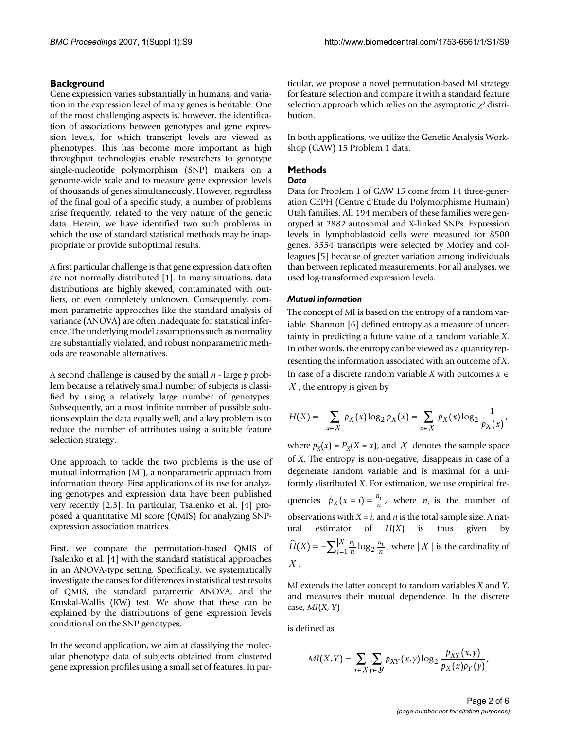### **Background**

Gene expression varies substantially in humans, and variation in the expression level of many genes is heritable. One of the most challenging aspects is, however, the identification of associations between genotypes and gene expression levels, for which transcript levels are viewed as phenotypes. This has become more important as high throughput technologies enable researchers to genotype single-nucleotide polymorphism (SNP) markers on a genome-wide scale and to measure gene expression levels of thousands of genes simultaneously. However, regardless of the final goal of a specific study, a number of problems arise frequently, related to the very nature of the genetic data. Herein, we have identified two such problems in which the use of standard statistical methods may be inappropriate or provide suboptimal results.

A first particular challenge is that gene expression data often are not normally distributed [1]. In many situations, data distributions are highly skewed, contaminated with outliers, or even completely unknown. Consequently, common parametric approaches like the standard analysis of variance (ANOVA) are often inadequate for statistical inference. The underlying model assumptions such as normality are substantially violated, and robust nonparametric methods are reasonable alternatives.

A second challenge is caused by the small *n* - large *p* problem because a relatively small number of subjects is classified by using a relatively large number of genotypes. Subsequently, an almost infinite number of possible solutions explain the data equally well, and a key problem is to reduce the number of attributes using a suitable feature selection strategy.

One approach to tackle the two problems is the use of mutual information (MI), a nonparametric approach from information theory. First applications of its use for analyzing genotypes and expression data have been published very recently [2,3]. In particular, Tsalenko et al. [4] proposed a quantitative MI score (QMIS) for analyzing SNPexpression association matrices.

First, we compare the permutation-based QMIS of Tsalenko et al. [4] with the standard statistical approaches in an ANOVA-type setting. Specifically, we systematically investigate the causes for differences in statistical test results of QMIS, the standard parametric ANOVA, and the Kruskal-Wallis (KW) test. We show that these can be explained by the distributions of gene expression levels conditional on the SNP genotypes.

In the second application, we aim at classifying the molecular phenotype data of subjects obtained from clustered gene expression profiles using a small set of features. In particular, we propose a novel permutation-based MI strategy for feature selection and compare it with a standard feature selection approach which relies on the asymptotic  $\chi^2$  distribution.

In both applications, we utilize the Genetic Analysis Workshop (GAW) 15 Problem 1 data.

### **Methods**

### *Data*

Data for Problem 1 of GAW 15 come from 14 three-generation CEPH (Centre d'Etude du Polymorphisme Humain) Utah families. All 194 members of these families were genotyped at 2882 autosomal and X-linked SNPs. Expression levels in lymphoblastoid cells were measured for 8500 genes. 3554 transcripts were selected by Morley and colleagues [5] because of greater variation among individuals than between replicated measurements. For all analyses, we used log-transformed expression levels.

### *Mutual information*

The concept of MI is based on the entropy of a random variable. Shannon [6] defined entropy as a measure of uncertainty in predicting a future value of a random variable *X*. In other words, the entropy can be viewed as a quantity representing the information associated with an outcome of *X*. In case of a discrete random variable *X* with outcomes  $x \in$  $\mathcal X$  , the entropy is given by

$$
H(X) = -\sum_{x \in X} p_X(x) \log_2 p_X(x) = \sum_{x \in X} p_X(x) \log_2 \frac{1}{p_X(x)},
$$

where  $p_X(x) = P_X(X = x)$ , and  $X$  denotes the sample space of *X*. The entropy is non-negative, disappears in case of a degenerate random variable and is maximal for a uniformly distributed *X*. For estimation, we use empirical frequencies  $\hat{p}_X(x = i) = \frac{n_i}{n}$ , where  $n_i$  is the number of observations with  $X = i$ , and *n* is the total sample size. A natural estimator of *H*(*X*) is thus given by  $\widehat{H}(X) = -\sum_{i=1}^{|X|} \frac{n_i}{n} \log_2 \frac{n_i}{n}$ , where  $|X|$  is the cardinality of  $\mathcal X$  .  $i) = \frac{n_i}{n}$  $\widehat{H}(X) = -\sum_{i=1}^{\left|X\right|} \frac{n_i}{n} \log_2 \frac{n_i}{n}$  , where  $\left|X\right|$ 

MI extends the latter concept to random variables *X* and *Y*, and measures their mutual dependence. In the discrete case, *MI*(*X*, *Y*)

is defined as

$$
MI(X,Y) = \sum_{x \in X} \sum_{\gamma \in \mathcal{Y}} p_{XY}(x,\gamma) \log_2 \frac{p_{XY}(x,\gamma)}{p_X(x)p_Y(\gamma)},
$$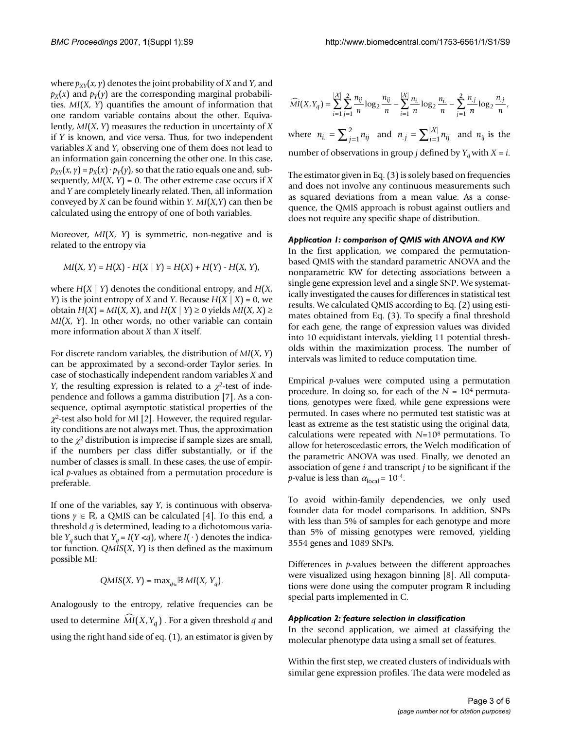where  $p_{xy}(x, y)$  denotes the joint probability of *X* and *Y*, and  $p_X(x)$  and  $p_Y(y)$  are the corresponding marginal probabilities. *MI*(*X*, *Y*) quantifies the amount of information that one random variable contains about the other. Equivalently, *MI*(*X*, *Y*) measures the reduction in uncertainty of *X* if *Y* is known, and vice versa. Thus, for two independent variables *X* and *Y*, observing one of them does not lead to an information gain concerning the other one. In this case,  $p_{XY}(x, y) = p_X(x) \cdot p_Y(y)$ , so that the ratio equals one and, subsequently,  $MI(X, Y) = 0$ . The other extreme case occurs if X and *Y* are completely linearly related. Then, all information conveyed by *X* can be found within *Y*. *MI*(*X*,*Y*) can then be calculated using the entropy of one of both variables.

Moreover, *MI*(*X*, *Y*) is symmetric, non-negative and is related to the entropy via

$$
MI(X, Y) = H(X) - H(X | Y) = H(X) + H(Y) - H(X, Y),
$$

where  $H(X | Y)$  denotes the conditional entropy, and  $H(X, Y)$ *Y*) is the joint entropy of *X* and *Y*. Because  $H(X | X) = 0$ , we obtain  $H(X) = MI(X, X)$ , and  $H(X | Y) \ge 0$  yields  $MI(X, X) \ge$ *MI*(*X*, *Y*). In other words, no other variable can contain more information about *X* than *X* itself.

For discrete random variables, the distribution of *MI*(*X*, *Y*) can be approximated by a second-order Taylor series. In case of stochastically independent random variables *X* and *Y*, the resulting expression is related to a  $\chi^2$ -test of independence and follows a gamma distribution [7]. As a consequence, optimal asymptotic statistical properties of the  $\chi^2$ -test also hold for MI [2]. However, the required regularity conditions are not always met. Thus, the approximation to the  $\chi^2$  distribution is imprecise if sample sizes are small, if the numbers per class differ substantially, or if the number of classes is small. In these cases, the use of empirical *p*-values as obtained from a permutation procedure is preferable.

If one of the variables, say *Y*, is continuous with observations  $\gamma \in \mathbb{R}$ , a QMIS can be calculated [4]. To this end, a threshold *q* is determined, leading to a dichotomous variable *Y<sub>q</sub>* such that *Y<sub>q</sub>* = *I*(*Y* <*q*), where *I*(·) denotes the indicator function. *QMIS*(*X*, *Y*) is then defined as the maximum possible MI:

$$
QMIS(X, Y) = \max_{q \in \mathbb{R}} MI(X, Y_q).
$$

Analogously to the entropy, relative frequencies can be used to determine  $\widehat{MI}(X,Y_q)$  . For a given threshold  $q$  and using the right hand side of eq. (1), an estimator is given by

$$
\widehat{MI}(X,Y_q) = \sum_{i=1}^{|X|} \sum_{j=1}^{2} \frac{n_{ij}}{n} \log_2 \frac{n_{ij}}{n} - \sum_{i=1}^{|X|} \frac{n_{i}}{n} \log_2 \frac{n_{i}}{n} - \sum_{j=1}^{2} \frac{n_{j}}{n} \log_2 \frac{n_{j}}{n},
$$

where  $n_{i.} = \sum_{j=1}^{2} n_{ij}$  and  $n_{.j} = \sum_{i=1}^{\vert X \vert} n_{ij}$  and  $n_{ij}$  is the number of observations in group *j* defined by  $Y_a$  with  $X = i$ .

The estimator given in Eq. (3) is solely based on frequencies and does not involve any continuous measurements such as squared deviations from a mean value. As a consequence, the QMIS approach is robust against outliers and does not require any specific shape of distribution.

#### *Application 1: comparison of QMIS with ANOVA and KW*

In the first application, we compared the permutationbased QMIS with the standard parametric ANOVA and the nonparametric KW for detecting associations between a single gene expression level and a single SNP. We systematically investigated the causes for differences in statistical test results. We calculated QMIS according to Eq. (2) using estimates obtained from Eq. (3). To specify a final threshold for each gene, the range of expression values was divided into 10 equidistant intervals, yielding 11 potential thresholds within the maximization process. The number of intervals was limited to reduce computation time.

Empirical *p*-values were computed using a permutation procedure. In doing so, for each of the *N* = 104 permutations, genotypes were fixed, while gene expressions were permuted. In cases where no permuted test statistic was at least as extreme as the test statistic using the original data, calculations were repeated with *N=*108 permutations. To allow for heteroscedastic errors, the Welch modification of the parametric ANOVA was used. Finally, we denoted an association of gene *i* and transcript *j* to be significant if the *p*-value is less than  $\alpha_{\text{local}} = 10^{-4}$ .

To avoid within-family dependencies, we only used founder data for model comparisons. In addition, SNPs with less than 5% of samples for each genotype and more than 5% of missing genotypes were removed, yielding 3554 genes and 1089 SNPs.

Differences in *p*-values between the different approaches were visualized using hexagon binning [8]. All computations were done using the computer program R including special parts implemented in C.

#### *Application 2: feature selection in classification*

In the second application, we aimed at classifying the molecular phenotype data using a small set of features.

Within the first step, we created clusters of individuals with similar gene expression profiles. The data were modeled as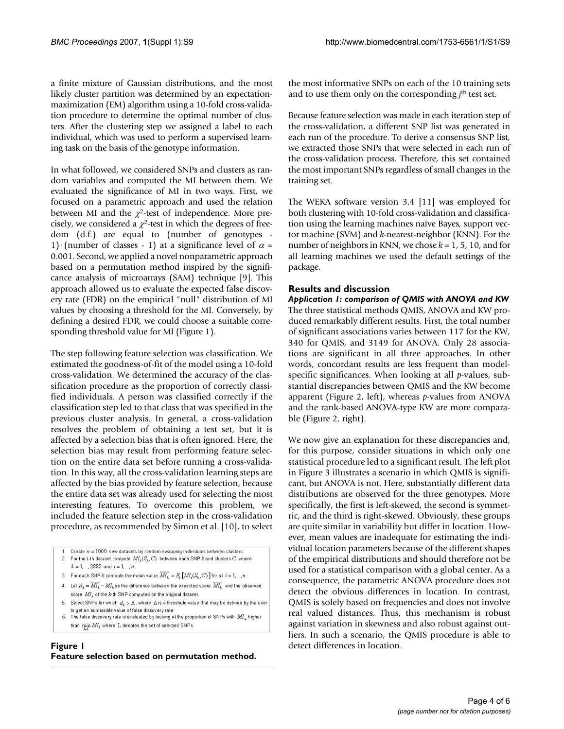a finite mixture of Gaussian distributions, and the most likely cluster partition was determined by an expectationmaximization (EM) algorithm using a 10-fold cross-validation procedure to determine the optimal number of clusters. After the clustering step we assigned a label to each individual, which was used to perform a supervised learning task on the basis of the genotype information.

In what followed, we considered SNPs and clusters as random variables and computed the MI between them. We evaluated the significance of MI in two ways. First, we focused on a parametric approach and used the relation between MI and the  $\chi^2$ -test of independence. More precisely, we considered a  $\chi^2$ -test in which the degrees of freedom (d.f.) are equal to (number of genotypes - 1) (number of classes - 1) at a significance level of  $\alpha$  = 0.001. Second, we applied a novel nonparametric approach based on a permutation method inspired by the significance analysis of microarrays (SAM) technique [9]. This approach allowed us to evaluate the expected false discovery rate (FDR) on the empirical "null" distribution of MI values by choosing a threshold for the MI. Conversely, by defining a desired FDR, we could choose a suitable corresponding threshold value for MI (Figure 1).

The step following feature selection was classification. We estimated the goodness-of-fit of the model using a 10-fold cross-validation. We determined the accuracy of the classification procedure as the proportion of correctly classified individuals. A person was classified correctly if the classification step led to that class that was specified in the previous cluster analysis. In general, a cross-validation resolves the problem of obtaining a test set, but it is affected by a selection bias that is often ignored. Here, the selection bias may result from performing feature selection on the entire data set before running a cross-validation. In this way, all the cross-validation learning steps are affected by the bias provided by feature selection, because the entire data set was already used for selecting the most interesting features. To overcome this problem, we included the feature selection step in the cross-validation procedure, as recommended by Simon et al. [10], to select

- Create  $n = 1000$  new datasets by random swapping individuals between clusters 2. For the i-th dataset compute  $M_{ij}^1(S_k, C)$  between each SNP  $k$  and clusters  $C$ , where  $k = 1, ..., 2882$  and  $i = 1, ..., n$ .
- 3. For each SNP  $k$  compute the mean value  $\overline{Ml_k} \coloneqq E_i\left[Ml_i(\mathcal{S}_k,C)\right]$  for all  $i=1,...,n$
- 4. Let  $d_k = \overline{Ml_k} Ml_k$  be the difference between the expected score  $\overline{Ml_k}$  and the observed score  $MI_k$  of the k-th SNP computed on the original dataset.
- 5. Select SNPs for which  $d_k > \Delta$ , where  $\Delta$  is a threshold value that may be defined by the user to get an admissible value of false discovery rate.
- 6. The false discovery rate is evaluated by looking at the proportion of SNPs with  $\left. M\right| _{k}$  higher than  $\min_{i \in I} MI_i$  where L denotes the set of selected SNPs.

### **Figure 1** detect differences in location. **Feature selection based on permutation method.**

the most informative SNPs on each of the 10 training sets and to use them only on the corresponding *j*th test set.

Because feature selection was made in each iteration step of the cross-validation, a different SNP list was generated in each run of the procedure. To derive a consensus SNP list, we extracted those SNPs that were selected in each run of the cross-validation process. Therefore, this set contained the most important SNPs regardless of small changes in the training set.

The WEKA software version 3.4 [11] was employed for both clustering with 10-fold cross-validation and classification using the learning machines naïve Bayes, support vector machine (SVM) and *k*-nearest-neighbor (KNN). For the number of neighbors in KNN, we chose *k* = 1, 5, 10, and for all learning machines we used the default settings of the package.

### **Results and discussion**

*Application 1: comparison of QMIS with ANOVA and KW* The three statistical methods QMIS, ANOVA and KW produced remarkably different results. First, the total number of significant associations varies between 117 for the KW, 340 for QMIS, and 3149 for ANOVA. Only 28 associations are significant in all three approaches. In other words, concordant results are less frequent than modelspecific significances. When looking at all *p*-values, substantial discrepancies between QMIS and the KW become apparent (Figure 2, left), whereas *p*-values from ANOVA and the rank-based ANOVA-type KW are more comparable (Figure 2, right).

We now give an explanation for these discrepancies and, for this purpose, consider situations in which only one statistical procedure led to a significant result. The left plot in Figure 3 illustrates a scenario in which QMIS is significant, but ANOVA is not. Here, substantially different data distributions are observed for the three genotypes. More specifically, the first is left-skewed, the second is symmetric, and the third is right-skewed. Obviously, these groups are quite similar in variability but differ in location. However, mean values are inadequate for estimating the individual location parameters because of the different shapes of the empirical distributions and should therefore not be used for a statistical comparison with a global center. As a consequence, the parametric ANOVA procedure does not detect the obvious differences in location. In contrast, QMIS is solely based on frequencies and does not involve real valued distances. Thus, this mechanism is robust against variation in skewness and also robust against outliers. In such a scenario, the QMIS procedure is able to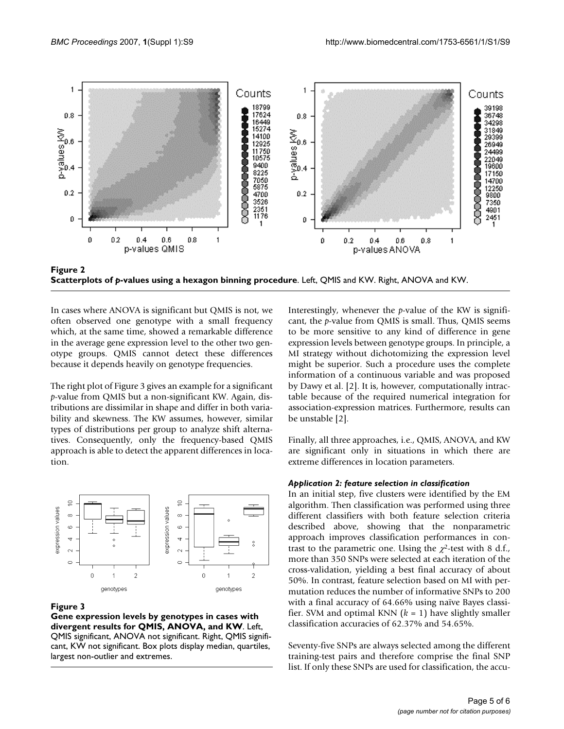

**Scatterplots of** *p***-values using a hexagon binning procedure**. Left, QMIS and KW. Right, ANOVA and KW.

In cases where ANOVA is significant but QMIS is not, we often observed one genotype with a small frequency which, at the same time, showed a remarkable difference in the average gene expression level to the other two genotype groups. QMIS cannot detect these differences because it depends heavily on genotype frequencies.

The right plot of Figure 3 gives an example for a significant *p*-value from QMIS but a non-significant KW. Again, distributions are dissimilar in shape and differ in both variability and skewness. The KW assumes, however, similar types of distributions per group to analyze shift alternatives. Consequently, only the frequency-based QMIS approach is able to detect the apparent differences in location.



### Figure 3

**Gene expression levels by genotypes in cases with divergent results for QMIS, ANOVA, and KW**. Left, QMIS significant, ANOVA not significant. Right, QMIS significant, KW not significant. Box plots display median, quartiles, largest non-outlier and extremes.

Interestingly, whenever the *p*-value of the KW is significant, the *p*-value from QMIS is small. Thus, QMIS seems to be more sensitive to any kind of difference in gene expression levels between genotype groups. In principle, a MI strategy without dichotomizing the expression level might be superior. Such a procedure uses the complete information of a continuous variable and was proposed by Dawy et al. [2]. It is, however, computationally intractable because of the required numerical integration for association-expression matrices. Furthermore, results can be unstable [2].

Finally, all three approaches, i.e., QMIS, ANOVA, and KW are significant only in situations in which there are extreme differences in location parameters.

### *Application 2: feature selection in classification*

In an initial step, five clusters were identified by the EM algorithm. Then classification was performed using three different classifiers with both feature selection criteria described above, showing that the nonparametric approach improves classification performances in contrast to the parametric one. Using the  $\chi^2$ -test with 8 d.f., more than 350 SNPs were selected at each iteration of the cross-validation, yielding a best final accuracy of about 50%. In contrast, feature selection based on MI with permutation reduces the number of informative SNPs to 200 with a final accuracy of 64.66% using naïve Bayes classifier. SVM and optimal KNN (*k* = 1) have slightly smaller classification accuracies of 62.37% and 54.65%.

Seventy-five SNPs are always selected among the different training-test pairs and therefore comprise the final SNP list. If only these SNPs are used for classification, the accu-